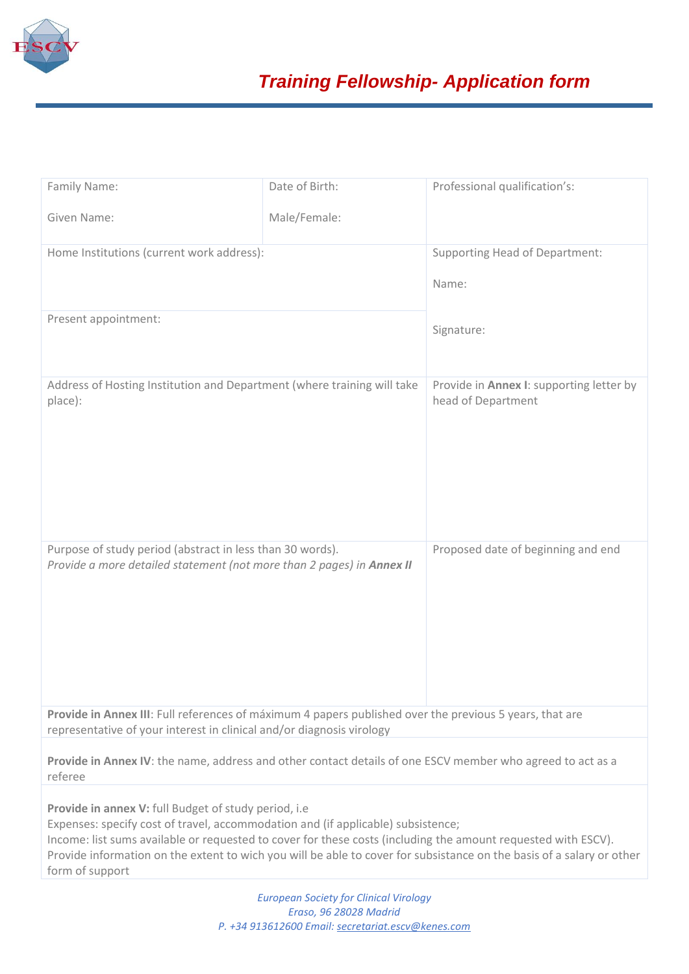

| Family Name:                                                                                                                                                                                                                                                                                                                                                                                           | Date of Birth: | Professional qualification's:                                  |
|--------------------------------------------------------------------------------------------------------------------------------------------------------------------------------------------------------------------------------------------------------------------------------------------------------------------------------------------------------------------------------------------------------|----------------|----------------------------------------------------------------|
| Given Name:                                                                                                                                                                                                                                                                                                                                                                                            | Male/Female:   |                                                                |
| Home Institutions (current work address):                                                                                                                                                                                                                                                                                                                                                              |                | <b>Supporting Head of Department:</b>                          |
|                                                                                                                                                                                                                                                                                                                                                                                                        |                | Name:                                                          |
| Present appointment:                                                                                                                                                                                                                                                                                                                                                                                   |                | Signature:                                                     |
| Address of Hosting Institution and Department (where training will take<br>place):                                                                                                                                                                                                                                                                                                                     |                | Provide in Annex I: supporting letter by<br>head of Department |
| Purpose of study period (abstract in less than 30 words).<br>Provide a more detailed statement (not more than 2 pages) in Annex II                                                                                                                                                                                                                                                                     |                | Proposed date of beginning and end                             |
| Provide in Annex III: Full references of máximum 4 papers published over the previous 5 years, that are<br>representative of your interest in clinical and/or diagnosis virology                                                                                                                                                                                                                       |                |                                                                |
| Provide in Annex IV: the name, address and other contact details of one ESCV member who agreed to act as a<br>referee                                                                                                                                                                                                                                                                                  |                |                                                                |
| Provide in annex V: full Budget of study period, i.e.<br>Expenses: specify cost of travel, accommodation and (if applicable) subsistence;<br>Income: list sums available or requested to cover for these costs (including the amount requested with ESCV).<br>Provide information on the extent to wich you will be able to cover for subsistance on the basis of a salary or other<br>form of support |                |                                                                |